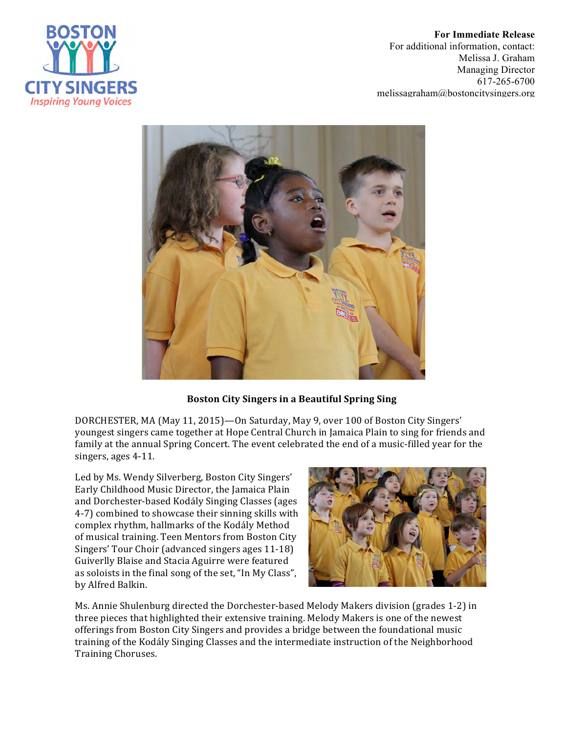

**For Immediate Release** For additional information, contact: Melissa J. Graham Managing Director 617-265-6700 melissagraham@bostoncitysingers.org



## **Boston City Singers in a Beautiful Spring Sing**

DORCHESTER, MA (May 11, 2015)—On Saturday, May 9, over 100 of Boston City Singers' youngest singers came together at Hope Central Church in Jamaica Plain to sing for friends and family at the annual Spring Concert. The event celebrated the end of a music-filled year for the singers, ages 4-11.

Led by Ms. Wendy Silverberg, Boston City Singers' Early Childhood Music Director, the Jamaica Plain and Dorchester-based Kodály Singing Classes (ages 4-7) combined to showcase their sinning skills with complex rhythm, hallmarks of the Kodály Method of musical training. Teen Mentors from Boston City Singers' Tour Choir (advanced singers ages 11-18) Guiverlly Blaise and Stacia Aguirre were featured as soloists in the final song of the set, "In My Class", by Alfred Balkin.



Ms. Annie Shulenburg directed the Dorchester-based Melody Makers division (grades 1-2) in three pieces that highlighted their extensive training. Melody Makers is one of the newest offerings from Boston City Singers and provides a bridge between the foundational music training of the Kodály Singing Classes and the intermediate instruction of the Neighborhood Training Choruses.